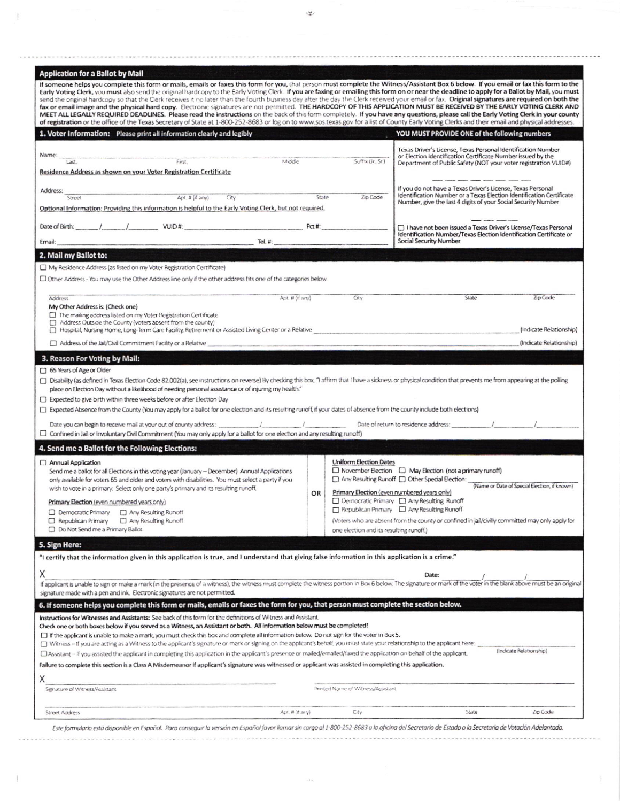| <b>Application for a Ballot by Mail</b>                                                                                                                                                                                                                                                                                                                                                                         |       |                                                                                                 |                                                                                                                                                                                                |                         |  |
|-----------------------------------------------------------------------------------------------------------------------------------------------------------------------------------------------------------------------------------------------------------------------------------------------------------------------------------------------------------------------------------------------------------------|-------|-------------------------------------------------------------------------------------------------|------------------------------------------------------------------------------------------------------------------------------------------------------------------------------------------------|-------------------------|--|
| If someone helps you complete this form or mails, emails or faxes this form for you, that person must complete the Witness/Assistant Box 6 below. If you email or fax this form to the<br>Early Voting Clerk, you must also send the original hardcopy to the Early Voting Clerk. If you are faxing or emailing this form on or near the deadline to apply for a Ballot by Mail, you must                       |       |                                                                                                 |                                                                                                                                                                                                |                         |  |
| send the original hardcopy so that the Clerk receives it no later than the fourth business day after the day the Clerk received your email or fax. Original signatures are required on both the<br>fax or email image and the physical hard copy. Electronic signatures are not permitted. THE HARDCOPY OF THIS APPLICATION MUST BE RECEIVED BY THE EARLY VOTING CLERK AND                                      |       |                                                                                                 |                                                                                                                                                                                                |                         |  |
| MEET ALL LEGALLY REQUIRED DEADLINES. Please read the instructions on the back of this form completely. If you have any questions, please call the Early Voting Clerk in your county<br>of registration or the office of the Texas Secretary of State at 1-800-252-8683 or log on to www.sos.texas.gov for a list of County Early Voting Clerks and their email and physical addresses.                          |       |                                                                                                 |                                                                                                                                                                                                |                         |  |
| 1. Voter Information: Please print all information clearly and legibly                                                                                                                                                                                                                                                                                                                                          |       |                                                                                                 | YOU MUST PROVIDE ONE of the following numbers                                                                                                                                                  |                         |  |
| Name:                                                                                                                                                                                                                                                                                                                                                                                                           |       |                                                                                                 | Texas Driver's License, Texas Personal Identification Number<br>or Election Identification Certificate Number issued by the                                                                    |                         |  |
| First<br>Middle<br>Last.                                                                                                                                                                                                                                                                                                                                                                                        |       | Sufftx (Jr., Sr.)                                                                               | Department of Public Safety (NOT your voter registration VUID#)                                                                                                                                |                         |  |
| Residence Address as shown on your Voter Registration Certificate                                                                                                                                                                                                                                                                                                                                               |       |                                                                                                 |                                                                                                                                                                                                |                         |  |
| Address:<br>Apt. # (if any)                                                                                                                                                                                                                                                                                                                                                                                     | State | Zip Code                                                                                        | If you do not have a Texas Driver's License, Texas Personal<br>Identification Number or a Texas Election Identification Certificate                                                            |                         |  |
| Street<br>Optional Information: Providing this information is helpful to the Early Voting Clerk, but not required.                                                                                                                                                                                                                                                                                              |       |                                                                                                 | Number, give the last 4 digits of your Social Security Number                                                                                                                                  |                         |  |
|                                                                                                                                                                                                                                                                                                                                                                                                                 |       |                                                                                                 |                                                                                                                                                                                                |                         |  |
|                                                                                                                                                                                                                                                                                                                                                                                                                 |       |                                                                                                 | □ I have not been issued a Texas Driver's License/Texas Personal<br>Identification Number/Texas Election Identification Certificate or                                                         |                         |  |
| $\overline{\mathbf{1}}$ and $\overline{\mathbf{1}}$ and $\overline{\mathbf{1}}$ and $\overline{\mathbf{1}}$ and $\overline{\mathbf{1}}$ and $\overline{\mathbf{1}}$ and $\overline{\mathbf{1}}$ and $\overline{\mathbf{1}}$ and $\overline{\mathbf{1}}$ and $\overline{\mathbf{1}}$ and $\overline{\mathbf{1}}$ and $\overline{\mathbf{1}}$ and $\overline{\mathbf{1}}$ and $\overline{\mathbf{1}}$ a<br>Email: |       |                                                                                                 | Social Security Number                                                                                                                                                                         |                         |  |
| 2. Mail my Ballot to:                                                                                                                                                                                                                                                                                                                                                                                           |       |                                                                                                 |                                                                                                                                                                                                |                         |  |
| $\Box$ My Residence Address (as listed on my Voter Registration Certificate)                                                                                                                                                                                                                                                                                                                                    |       |                                                                                                 |                                                                                                                                                                                                |                         |  |
| Other Address - You may use the Other Address line only if the other address fits one of the categories below.                                                                                                                                                                                                                                                                                                  |       |                                                                                                 |                                                                                                                                                                                                |                         |  |
| Apt. # (if any)<br><b>Address</b>                                                                                                                                                                                                                                                                                                                                                                               |       | City                                                                                            | State                                                                                                                                                                                          | Zip Code                |  |
| My Other Address is: (Check one)<br>$\Box$ The mailing address listed on my Voter Registration Certificate                                                                                                                                                                                                                                                                                                      |       |                                                                                                 |                                                                                                                                                                                                |                         |  |
| Address Outside the County (voters absent from the county)                                                                                                                                                                                                                                                                                                                                                      |       |                                                                                                 |                                                                                                                                                                                                |                         |  |
| Hospital, Nursing Home, Long-Term Care Facility, Retirement or Assisted Living Center or a Relative                                                                                                                                                                                                                                                                                                             |       |                                                                                                 |                                                                                                                                                                                                | (Indicate Relationship) |  |
| Address of the Jail/Civil Commitment Facility or a Relative                                                                                                                                                                                                                                                                                                                                                     |       |                                                                                                 |                                                                                                                                                                                                | (Indicate Relationship) |  |
| 3. Reason For Voting by Mail:                                                                                                                                                                                                                                                                                                                                                                                   |       |                                                                                                 |                                                                                                                                                                                                |                         |  |
| 65 Years of Age or Older<br>□ Disability (as defined in Texas Election Code 82.002(a), see instructions on reverse) By checking this box, "I affirm that I have a sickness or physical condition that prevents me from appearing at the polling                                                                                                                                                                 |       |                                                                                                 |                                                                                                                                                                                                |                         |  |
| place on Election Day without a likelihood of needing personal assistance or of injuring my health."                                                                                                                                                                                                                                                                                                            |       |                                                                                                 |                                                                                                                                                                                                |                         |  |
| $\Box$ Expected to give birth within three weeks before or after Election Day<br>Expected Absence from the County (You may apply for a ballot for one election and its resulting runoff, if your dates of absence from the county include both elections)                                                                                                                                                       |       |                                                                                                 |                                                                                                                                                                                                |                         |  |
|                                                                                                                                                                                                                                                                                                                                                                                                                 |       |                                                                                                 |                                                                                                                                                                                                |                         |  |
| Date you can begin to receive mail at your out of county address: / / / / / Date of return to residence address: /<br>$\Box$ Confined in Jail or Involuntary Civil Commitment (You may only apply for a ballot for one election and any resulting runoff)                                                                                                                                                       |       |                                                                                                 |                                                                                                                                                                                                |                         |  |
| 4. Send me a Ballot for the Following Elections:                                                                                                                                                                                                                                                                                                                                                                |       |                                                                                                 |                                                                                                                                                                                                |                         |  |
| Annual Application                                                                                                                                                                                                                                                                                                                                                                                              |       | <b>Uniform Election Dates</b>                                                                   |                                                                                                                                                                                                |                         |  |
| Send me a ballot for all Elections in this voting year (January - December) Annual Applications                                                                                                                                                                                                                                                                                                                 |       | $\Box$ November Election $\Box$ May Election (not a primary runoff)                             |                                                                                                                                                                                                |                         |  |
| only available for voters 65 and older and voters with disabilities. You must select a party if you<br>wish to vote in a primary. Select only one party's primary and its resulting runoff.                                                                                                                                                                                                                     |       |                                                                                                 | □ Any Resulting Runoff □ Other Special Election:<br>(Name or Date of Special Election, if known)<br>Primary Election (even numbered years only)<br>□ Democratic Primary □ Any Resulting Runoff |                         |  |
| Primary Election (even numbered years only)                                                                                                                                                                                                                                                                                                                                                                     | OR    |                                                                                                 |                                                                                                                                                                                                |                         |  |
| D Democratic Primary <sub>D</sub> Any Resulting Runoff                                                                                                                                                                                                                                                                                                                                                          |       |                                                                                                 | $\Box$ Republican Primary $\Box$ Any Resulting Runoff                                                                                                                                          |                         |  |
| Republican Primary<br>Any Resulting Runoff                                                                                                                                                                                                                                                                                                                                                                      |       | (Voters who are absent from the county or confined in jail/civilly committed may only apply for |                                                                                                                                                                                                |                         |  |
| Do Not Send me a Primary Ballot                                                                                                                                                                                                                                                                                                                                                                                 |       | one election and its resulting runoff.)                                                         |                                                                                                                                                                                                |                         |  |
| 5. Sign Here:                                                                                                                                                                                                                                                                                                                                                                                                   |       |                                                                                                 |                                                                                                                                                                                                |                         |  |
| "I certify that the information given in this application is true, and I understand that giving false information in this application is a crime."                                                                                                                                                                                                                                                              |       |                                                                                                 |                                                                                                                                                                                                |                         |  |
| X                                                                                                                                                                                                                                                                                                                                                                                                               |       |                                                                                                 | Date:                                                                                                                                                                                          |                         |  |
| If applicant is unable to sign or make a mark (in the presence of a witness), the witness must complete the witness portion in Box 6 below. The signature or mark of the voter in the blank above must be an origin.<br>signature made with a pen and ink. Electronic signatures are not permitted.                                                                                                             |       |                                                                                                 |                                                                                                                                                                                                |                         |  |
| 6. If someone helps you complete this form or mails, emails or faxes the form for you, that person must complete the section below.                                                                                                                                                                                                                                                                             |       |                                                                                                 |                                                                                                                                                                                                |                         |  |
| Instructions for Witnesses and Assistants: See back of this form for the definitions of Witness and Assistant.                                                                                                                                                                                                                                                                                                  |       |                                                                                                 |                                                                                                                                                                                                |                         |  |
| Check one or both boxes below if you served as a Witness, an Assistant or both. All information below must be completed!<br>If the applicant is unable to make a mark, you must check this box and complete all information below. Do not sign for the voter in Box S.                                                                                                                                          |       |                                                                                                 |                                                                                                                                                                                                |                         |  |
| U Witness - If you are acting as a Witness to the applicant's signature or mark or signing on the applicant's behalf, you must state your relationship to the applicant here:                                                                                                                                                                                                                                   |       |                                                                                                 |                                                                                                                                                                                                |                         |  |
| □ Assistant - If you assisted the applicant in completing this application in the applicant's presence or mailed/emailed/faxed the application on behalf of the applicant.                                                                                                                                                                                                                                      |       |                                                                                                 |                                                                                                                                                                                                | (Indicate Relationship) |  |
| Failure to complete this section is a Class A Misdemeanor if applicant's signature was witnessed or applicant was assisted in completing this application.                                                                                                                                                                                                                                                      |       |                                                                                                 |                                                                                                                                                                                                |                         |  |
| Х                                                                                                                                                                                                                                                                                                                                                                                                               |       | Printed Name of Witness/Assistant                                                               |                                                                                                                                                                                                |                         |  |
| Signature of Witness/Assistant                                                                                                                                                                                                                                                                                                                                                                                  |       |                                                                                                 |                                                                                                                                                                                                |                         |  |
| <b>Street Address</b><br>Apt. # (if arry)                                                                                                                                                                                                                                                                                                                                                                       |       | City                                                                                            | State                                                                                                                                                                                          | Zip Code                |  |
| Este formulario està disponible en Español. Para conseguir la versión en Español favor llamar sin cargo al 1-800-252-8683 a la oficina del Secretario de Estado o la Secretaria de Votación Adelantada.                                                                                                                                                                                                         |       |                                                                                                 |                                                                                                                                                                                                |                         |  |

 $+$ 

 $\tilde{\psi}$